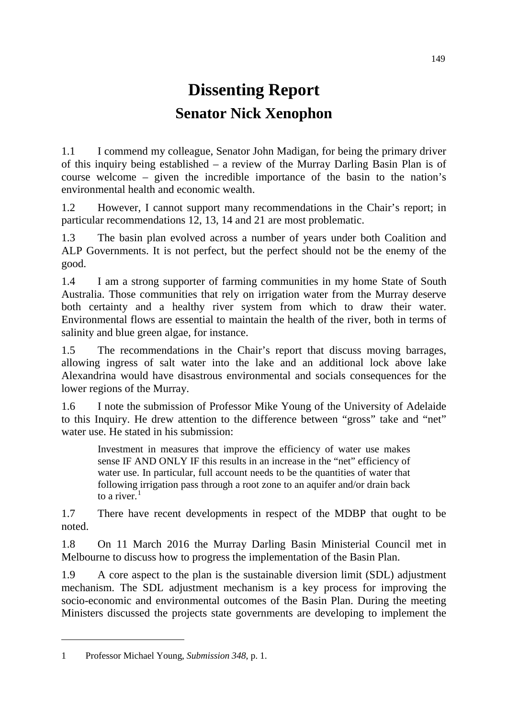## **Dissenting Report Senator Nick Xenophon**

1.1 I commend my colleague, Senator John Madigan, for being the primary driver of this inquiry being established – a review of the Murray Darling Basin Plan is of course welcome – given the incredible importance of the basin to the nation's environmental health and economic wealth.

1.2 However, I cannot support many recommendations in the Chair's report; in particular recommendations 12, 13, 14 and 21 are most problematic.

1.3 The basin plan evolved across a number of years under both Coalition and ALP Governments. It is not perfect, but the perfect should not be the enemy of the good.

1.4 I am a strong supporter of farming communities in my home State of South Australia. Those communities that rely on irrigation water from the Murray deserve both certainty and a healthy river system from which to draw their water. Environmental flows are essential to maintain the health of the river, both in terms of salinity and blue green algae, for instance.

1.5 The recommendations in the Chair's report that discuss moving barrages, allowing ingress of salt water into the lake and an additional lock above lake Alexandrina would have disastrous environmental and socials consequences for the lower regions of the Murray.

1.6 I note the submission of Professor Mike Young of the University of Adelaide to this Inquiry. He drew attention to the difference between "gross" take and "net" water use. He stated in his submission:

Investment in measures that improve the efficiency of water use makes sense IF AND ONLY IF this results in an increase in the "net" efficiency of water use. In particular, full account needs to be the quantities of water that following irrigation pass through a root zone to an aquifer and/or drain back to a river. $<sup>1</sup>$  $<sup>1</sup>$  $<sup>1</sup>$ </sup>

1.7 There have recent developments in respect of the MDBP that ought to be noted.

1.8 On 11 March 2016 the Murray Darling Basin Ministerial Council met in Melbourne to discuss how to progress the implementation of the Basin Plan.

1.9 A core aspect to the plan is the sustainable diversion limit (SDL) adjustment mechanism. The SDL adjustment mechanism is a key process for improving the socio-economic and environmental outcomes of the Basin Plan. During the meeting Ministers discussed the projects state governments are developing to implement the

-

<span id="page-0-0"></span><sup>1</sup> Professor Michael Young, *Submission 348*, p. 1.